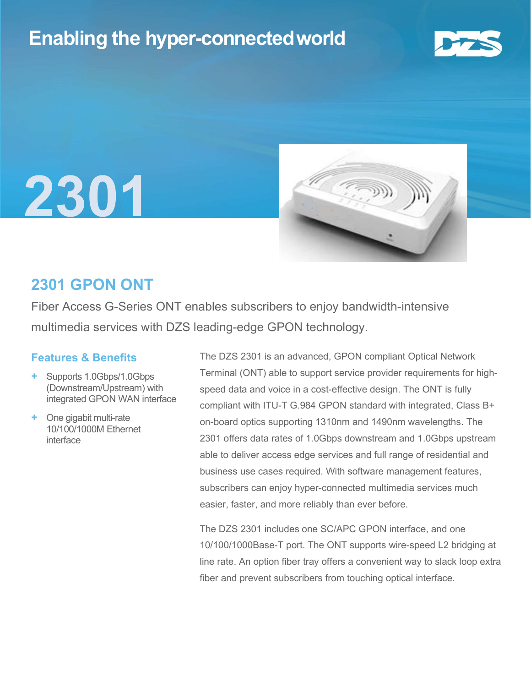## Enabling the hyper-connectedworld







## 2301 GPON ONT

Fiber Access G-Series ONT enables subscribers to enjoy bandwidth-intensive multimedia services with DZS leading-edge GPON technology.

### Features & Benefits

- + Supports 1.0Gbps/1.0Gbps (Downstream/Upstream) with integrated GPON WAN interface
- One gigabit multi-rate 10/100/1000M Ethernet interface

The DZS 2301 is an advanced, GPON compliant Optical Network Terminal (ONT) able to support service provider requirements for highspeed data and voice in a cost-effective design. The ONT is fully compliant with ITU-T G.984 GPON standard with integrated, Class B+ on-board optics supporting 1310nm and 1490nm wavelengths. The 2301 offers data rates of 1.0Gbps downstream and 1.0Gbps upstream able to deliver access edge services and full range of residential and business use cases required. With software management features, subscribers can enjoy hyper-connected multimedia services much easier, faster, and more reliably than ever before.

The DZS 2301 includes one SC/APC GPON interface, and one 10/100/1000Base-T port. The ONT supports wire-speed L2 bridging at line rate. An option fiber tray offers a convenient way to slack loop extra fiber and prevent subscribers from touching optical interface.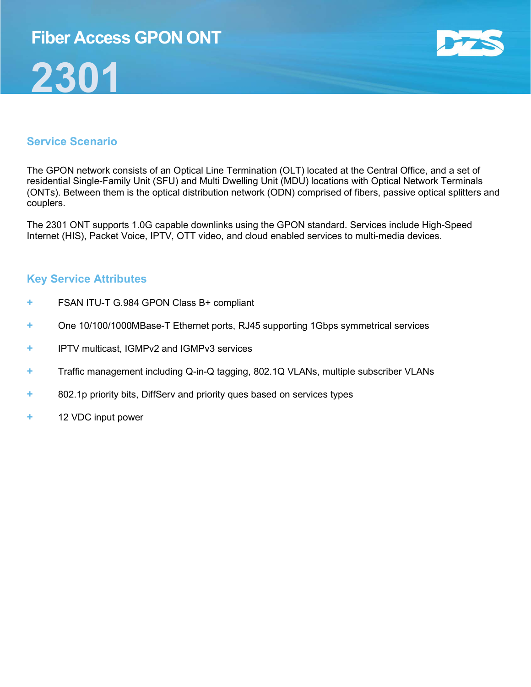## Fiber Access GPON ONT

# 2301



## Service Scenario

The GPON network consists of an Optical Line Termination (OLT) located at the Central Office, and a set of residential Single-Family Unit (SFU) and Multi Dwelling Unit (MDU) locations with Optical Network Terminals (ONTs). Between them is the optical distribution network (ODN) comprised of fibers, passive optical splitters and couplers.

The 2301 ONT supports 1.0G capable downlinks using the GPON standard. Services include High-Speed Internet (HIS), Packet Voice, IPTV, OTT video, and cloud enabled services to multi-media devices.

### Key Service Attributes

- + FSAN ITU-T G.984 GPON Class B+ compliant
- + One 10/100/1000MBase-T Ethernet ports, RJ45 supporting 1Gbps symmetrical services
- + IPTV multicast, IGMPv2 and IGMPv3 services
- + Traffic management including Q-in-Q tagging, 802.1Q VLANs, multiple subscriber VLANs
- + 802.1p priority bits, DiffServ and priority ques based on services types
- + 12 VDC input power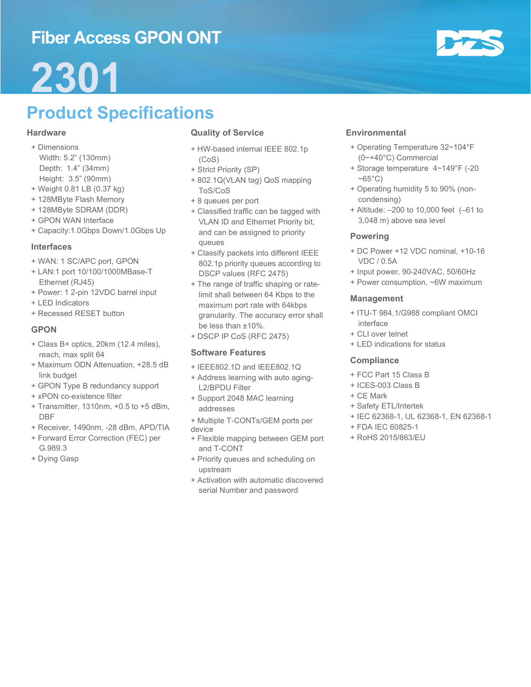## Fiber Access GPON ONT



# 2301

# Product Specifications

#### **Hardware**

- + Dimensions Width: 5.2" (130mm) Depth: 1.4" (34mm) Height: 3.5" (90mm)
- + Weight 0.81 LB (0.37 kg)
- + 128MByte Flash Memory
- + 128MByte SDRAM (DDR)
- + GPON WAN Interface
- + Capacity:1.0Gbps Down/1.0Gbps Up

#### Interfaces

- + WAN: 1 SC/APC port, GPON
- + LAN:1 port 10/100/1000MBase-T Ethernet (RJ45)
- + Power: 1 2-pin 12VDC barrel input
- + LED Indicators
- + Recessed RESET button

#### GPON

- + Class B+ optics, 20km (12.4 miles), reach, max split 64
- + Maximum ODN Attenuation, +28.5 dB link budget
- + GPON Type B redundancy support
- + xPON co-existence filter
- + Transmitter, 1310nm, +0.5 to +5 dBm, DBF
- + Receiver, 1490nm, -28 dBm, APD/TIA
- + Forward Error Correction (FEC) per G.989.3
- + Dying Gasp

#### Quality of Service

- + HW-based internal IEEE 802.1p (CoS)
- + Strict Priority (SP)
- + 802.1Q(VLAN tag) QoS mapping ToS/CoS
- + 8 queues per port
- + Classified traffic can be tagged with VLAN ID and Ethernet Priority bit, and can be assigned to priority queues
- + Classify packets into different IEEE 802.1p priority queues according to DSCP values (RFC 2475)
- + The range of traffic shaping or ratelimit shall between 64 Kbps to the maximum port rate with 64kbps granularity. The accuracy error shall be less than ±10%.
- + DSCP IP CoS (RFC 2475)

#### Software Features

- + IEEE802.1D and IEEE802.1Q
- + Address learning with auto aging-L2/BPDU Filter
- + Support 2048 MAC learning addresses
- + Multiple T-CONTs/GEM ports per
- device
- + Flexible mapping between GEM port and T-CONT
- + Priority queues and scheduling on upstream
- + Activation with automatic discovered serial Number and password

#### **Environmental**

- + Operating Temperature 32~104°F (0~+40°C) Commercial
- + Storage temperature 4~149°F (-20  $~\sim$  65 $^{\circ}$ C)
- + Operating humidity 5 to 90% (noncondensing)
- + Altitude: –200 to 10,000 feet (–61 to 3,048 m) above sea level

#### Powering

- + DC Power +12 VDC nominal, +10-16 VDC / 0.5A
- + Input power, 90-240VAC, 50/60Hz
- + Power consumption, ~6W maximum

#### Management

- + ITU-T 984.1/G988 compliant OMCI interface
- + CLI over telnet
- + LED indications for status

#### **Compliance**

- + FCC Part 15 Class B
- + ICES-003 Class B
- + CE Mark
- + Safety ETL/Intertek
- + IEC 62368-1, UL 62368-1, EN 62368-1
- + FDA IEC 60825-1
- + RoHS 2015/863/EU